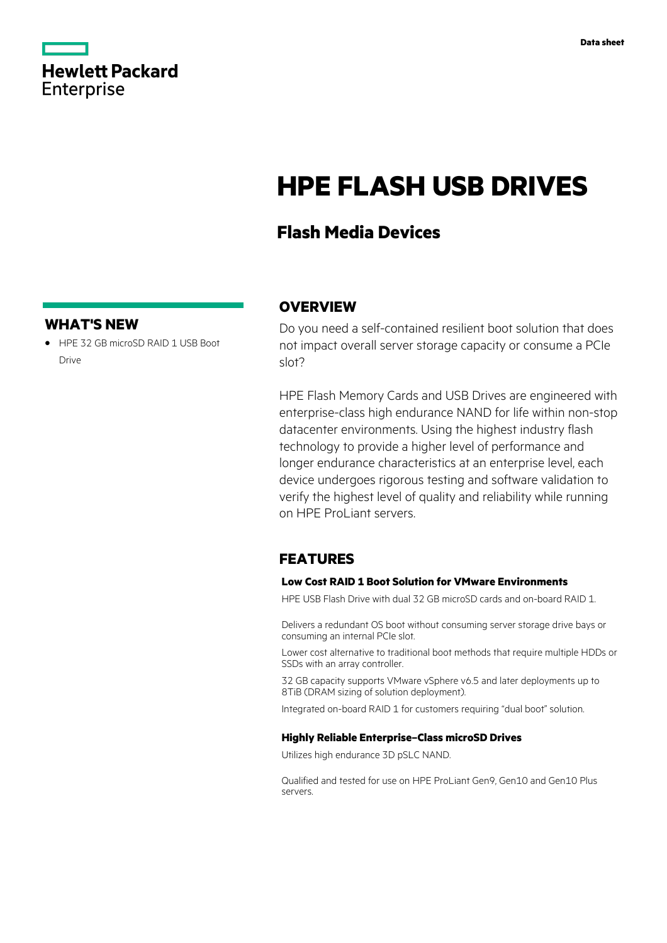

# **HPE FLASH USB DRIVES**

## **Flash Media Devices**

#### **WHAT'S NEW**

**·** HPE 32 GB microSD RAID 1 USB Boot Drive

#### **OVERVIEW**

Do you need a self-contained resilient boot solution that does not impact overall server storage capacity or consume a PCIe slot?

HPE Flash Memory Cards and USB Drives are engineered with enterprise-class high endurance NAND for life within non-stop datacenter environments. Using the highest industry flash technology to provide a higher level of performance and longer endurance characteristics at an enterprise level, each device undergoes rigorous testing and software validation to verify the highest level of quality and reliability while running on HPE ProLiant servers.

#### **FEATURES**

#### **Low Cost RAID 1 Boot Solution for VMware Environments**

HPE USB Flash Drive with dual 32 GB microSD cards and on-board RAID 1.

Delivers a redundant OS boot without consuming server storage drive bays or consuming an internal PCIe slot.

Lower cost alternative to traditional boot methods that require multiple HDDs or SSDs with an array controller.

32 GB capacity supports VMware vSphere v6.5 and later deployments up to 8TiB (DRAM sizing of solution deployment).

Integrated on-board RAID 1 for customers requiring "dual boot" solution.

#### **Highly Reliable Enterprise–Class microSD Drives**

Utilizes high endurance 3D pSLC NAND.

Qualified and tested for use on HPE ProLiant Gen9, Gen10 and Gen10 Plus servers.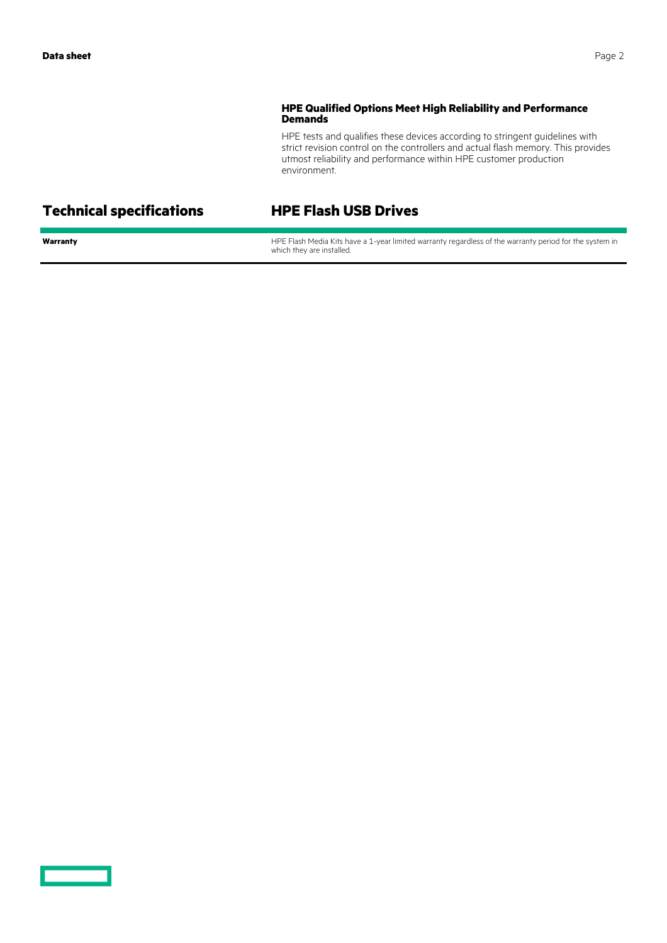#### **HPE Qualified Options Meet High Reliability and Performance Demands**

HPE tests and qualifies these devices according to stringent guidelines with strict revision control on the controllers and actual flash memory. This provides utmost reliability and performance within HPE customer production environment.

### **Technical specifications HPE Flash USB Drives**

**Warranty HPE Flash Media Kits have a 1-year limited warranty regardless of the warranty period for the system in** which they are installed.